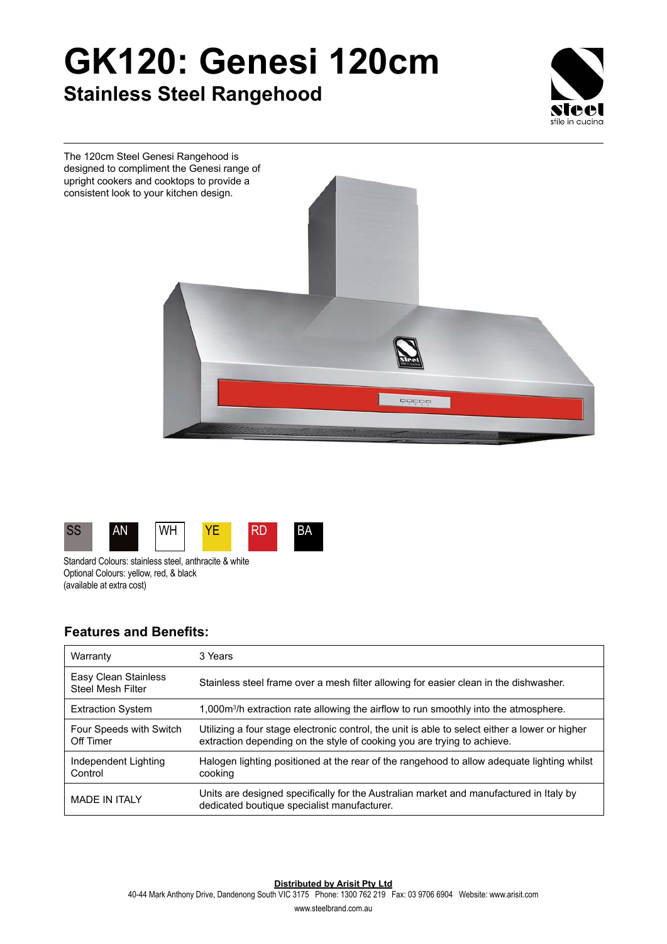## **GK120: Genesi 120cm Stainless Steel Rangehood**







Standard Colours: stainless steel, anthracite & white Optional Colours: yellow, red, & black (available at extra cost)

## **Features and Benefits:**

| Warranty                                         | 3 Years                                                                                                                                                                   |
|--------------------------------------------------|---------------------------------------------------------------------------------------------------------------------------------------------------------------------------|
| Easy Clean Stainless<br><b>Steel Mesh Filter</b> | Stainless steel frame over a mesh filter allowing for easier clean in the dishwasher.                                                                                     |
| <b>Extraction System</b>                         | 1,000 $\mathrm{m}^3$ /h extraction rate allowing the airflow to run smoothly into the atmosphere.                                                                         |
| Four Speeds with Switch<br>Off Timer             | Utilizing a four stage electronic control, the unit is able to select either a lower or higher<br>extraction depending on the style of cooking you are trying to achieve. |
| Independent Lighting<br>Control                  | Halogen lighting positioned at the rear of the rangehood to allow adequate lighting whilst<br>cooking                                                                     |
| <b>MADE IN ITAI Y</b>                            | Units are designed specifically for the Australian market and manufactured in Italy by<br>dedicated boutique specialist manufacturer.                                     |

**Distributed by Arisit Pty Ltd**

40-44 Mark Anthony Drive, Dandenong South VIC 3175 Phone: 1300 762 219 Fax: 03 9706 6904 Website: www.arisit.com

www.steelbrand.com.au